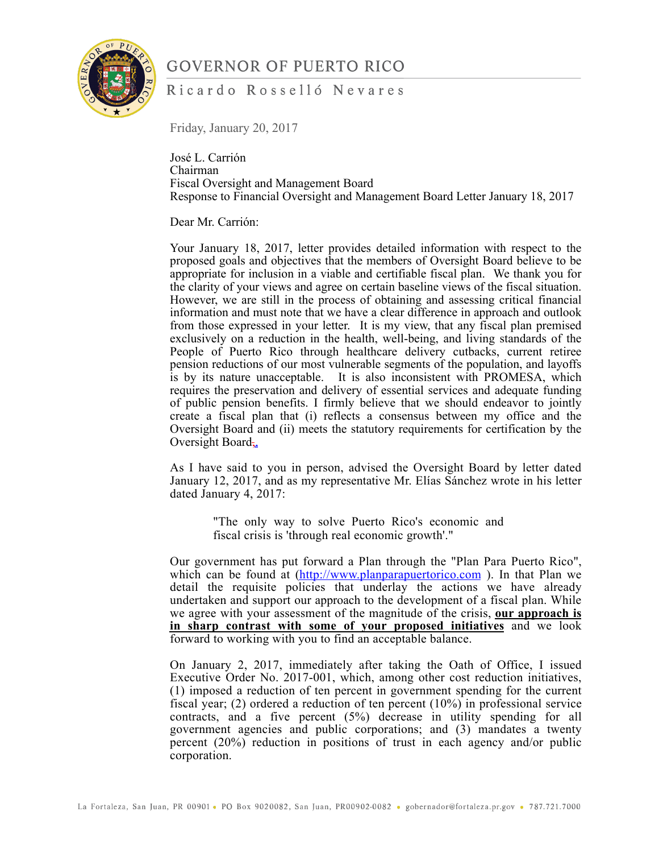

#### Ricardo Rosselló Nevares

Friday, January 20, 2017

José L. Carrión Chairman Fiscal Oversight and Management Board Response to Financial Oversight and Management Board Letter January 18, 2017

Dear Mr. Carrión:

Your January 18, 2017, letter provides detailed information with respect to the proposed goals and objectives that the members of Oversight Board believe to be appropriate for inclusion in a viable and certifiable fiscal plan. We thank you for the clarity of your views and agree on certain baseline views of the fiscal situation. However, we are still in the process of obtaining and assessing critical financial information and must note that we have a clear difference in approach and outlook from those expressed in your letter. It is my view, that any fiscal plan premised exclusively on a reduction in the health, well-being, and living standards of the People of Puerto Rico through healthcare delivery cutbacks, current retiree pension reductions of our most vulnerable segments of the population, and layoffs is by its nature unacceptable. It is also inconsistent with PROMESA, which requires the preservation and delivery of essential services and adequate funding of public pension benefits. I firmly believe that we should endeavor to jointly create a fiscal plan that (i) reflects a consensus between my office and the Oversight Board and (ii) meets the statutory requirements for certification by the Oversight Board,

As I have said to you in person, advised the Oversight Board by letter dated January 12, 2017, and as my representative Mr. Elías Sánchez wrote in his letter dated January 4, 2017:

> "The only way to solve Puerto Rico's economic and fiscal crisis is 'through real economic growth'."

Our government has put forward a Plan through the "Plan Para Puerto Rico", which can be found at  $(\frac{http://www.planparapuertorico.com}{http://www.planparapuertorico.com})$ . In that Plan we detail the requisite policies that underlay the actions we have already undertaken and support our approach to the development of a fiscal plan. While we agree with your assessment of the magnitude of the crisis, **our approach is in sharp contrast with some of your proposed initiatives** and we look forward to working with you to find an acceptable balance.

On January 2, 2017, immediately after taking the Oath of Office, I issued Executive Order No. 2017-001, which, among other cost reduction initiatives, (1) imposed a reduction of ten percent in government spending for the current fiscal year; (2) ordered a reduction of ten percent (10%) in professional service contracts, and a five percent (5%) decrease in utility spending for all government agencies and public corporations; and (3) mandates a twenty percent (20%) reduction in positions of trust in each agency and/or public corporation.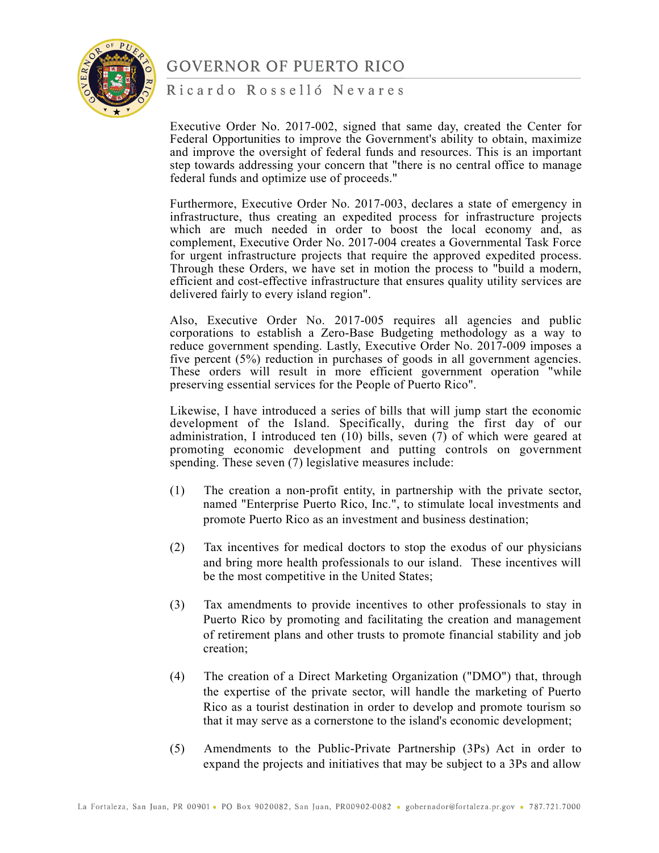

Ricardo Rosselló Nevares

Executive Order No. 2017-002, signed that same day, created the Center for Federal Opportunities to improve the Government's ability to obtain, maximize and improve the oversight of federal funds and resources. This is an important step towards addressing your concern that "there is no central office to manage federal funds and optimize use of proceeds."

Furthermore, Executive Order No. 2017-003, declares a state of emergency in infrastructure, thus creating an expedited process for infrastructure projects which are much needed in order to boost the local economy and, as complement, Executive Order No. 2017-004 creates a Governmental Task Force for urgent infrastructure projects that require the approved expedited process. Through these Orders, we have set in motion the process to "build a modern, efficient and cost-effective infrastructure that ensures quality utility services are delivered fairly to every island region".

Also, Executive Order No. 2017-005 requires all agencies and public corporations to establish a Zero-Base Budgeting methodology as a way to reduce government spending. Lastly, Executive Order No. 2017-009 imposes a five percent (5%) reduction in purchases of goods in all government agencies. These orders will result in more efficient government operation "while preserving essential services for the People of Puerto Rico".

Likewise, I have introduced a series of bills that will jump start the economic development of the Island. Specifically, during the first day of our administration, I introduced ten  $(10)$  bills, seven  $(7)$  of which were geared at promoting economic development and putting controls on government spending. These seven (7) legislative measures include:

- (1) The creation a non-profit entity, in partnership with the private sector, named "Enterprise Puerto Rico, Inc.", to stimulate local investments and promote Puerto Rico as an investment and business destination;
- (2) Tax incentives for medical doctors to stop the exodus of our physicians and bring more health professionals to our island. These incentives will be the most competitive in the United States;
- (3) Tax amendments to provide incentives to other professionals to stay in Puerto Rico by promoting and facilitating the creation and management of retirement plans and other trusts to promote financial stability and job creation;
- (4) The creation of a Direct Marketing Organization ("DMO") that, through the expertise of the private sector, will handle the marketing of Puerto Rico as a tourist destination in order to develop and promote tourism so that it may serve as a cornerstone to the island's economic development;
- (5) Amendments to the Public-Private Partnership (3Ps) Act in order to expand the projects and initiatives that may be subject to a 3Ps and allow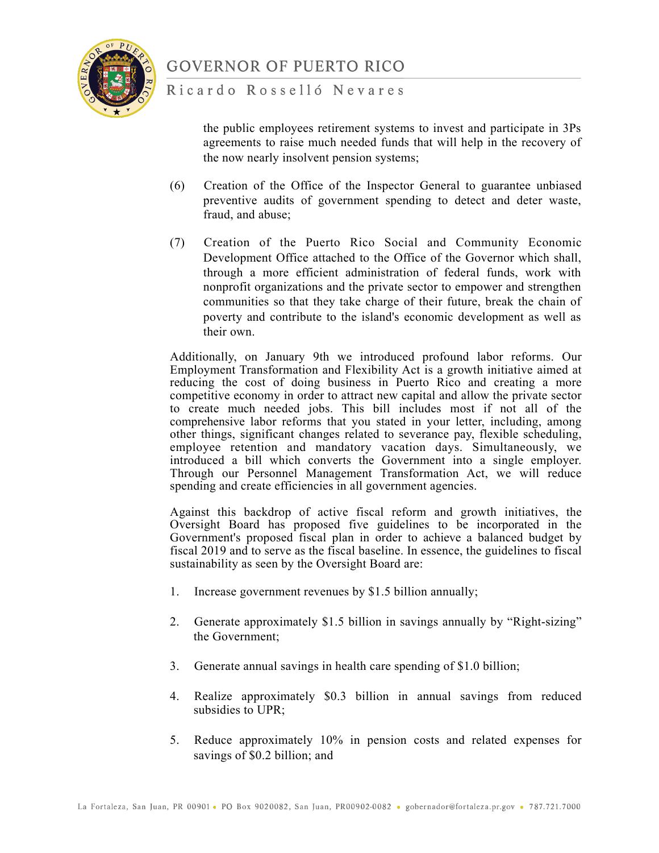

Ricardo Rosselló Nevares

the public employees retirement systems to invest and participate in 3Ps agreements to raise much needed funds that will help in the recovery of the now nearly insolvent pension systems;

- (6) Creation of the Office of the Inspector General to guarantee unbiased preventive audits of government spending to detect and deter waste, fraud, and abuse;
- (7) Creation of the Puerto Rico Social and Community Economic Development Office attached to the Office of the Governor which shall, through a more efficient administration of federal funds, work with nonprofit organizations and the private sector to empower and strengthen communities so that they take charge of their future, break the chain of poverty and contribute to the island's economic development as well as their own.

Additionally, on January 9th we introduced profound labor reforms. Our Employment Transformation and Flexibility Act is a growth initiative aimed at reducing the cost of doing business in Puerto Rico and creating a more competitive economy in order to attract new capital and allow the private sector to create much needed jobs. This bill includes most if not all of the comprehensive labor reforms that you stated in your letter, including, among other things, significant changes related to severance pay, flexible scheduling, employee retention and mandatory vacation days. Simultaneously, we introduced a bill which converts the Government into a single employer. Through our Personnel Management Transformation Act, we will reduce spending and create efficiencies in all government agencies.

Against this backdrop of active fiscal reform and growth initiatives, the Oversight Board has proposed five guidelines to be incorporated in the Government's proposed fiscal plan in order to achieve a balanced budget by fiscal 2019 and to serve as the fiscal baseline. In essence, the guidelines to fiscal sustainability as seen by the Oversight Board are:

- 1. Increase government revenues by \$1.5 billion annually;
- 2. Generate approximately \$1.5 billion in savings annually by "Right-sizing" the Government;
- 3. Generate annual savings in health care spending of \$1.0 billion;
- 4. Realize approximately \$0.3 billion in annual savings from reduced subsidies to UPR;
- 5. Reduce approximately 10% in pension costs and related expenses for savings of \$0.2 billion; and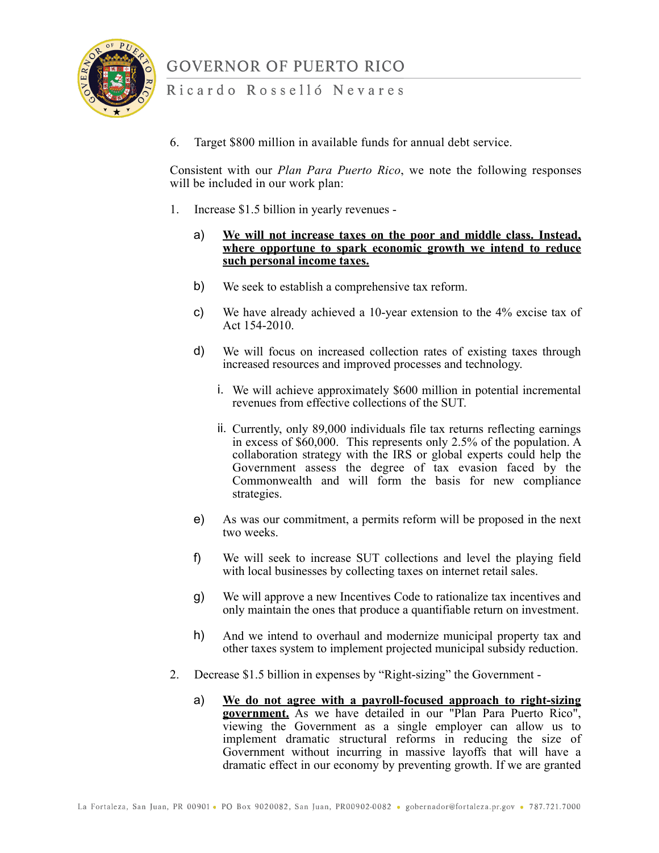

#### Ricardo Rosselló Nevares

6. Target \$800 million in available funds for annual debt service.

Consistent with our *Plan Para Puerto Rico*, we note the following responses will be included in our work plan:

- 1. Increase \$1.5 billion in yearly revenues
	- a) **We will not increase taxes on the poor and middle class. Instead, where opportune to spark economic growth we intend to reduce such personal income taxes.**
	- b) We seek to establish a comprehensive tax reform.
	- c) We have already achieved a 10-year extension to the 4% excise tax of Act 154-2010.
	- d) We will focus on increased collection rates of existing taxes through increased resources and improved processes and technology.
		- i. We will achieve approximately \$600 million in potential incremental revenues from effective collections of the SUT.
		- ii. Currently, only 89,000 individuals file tax returns reflecting earnings in excess of \$60,000. This represents only 2.5% of the population. A collaboration strategy with the IRS or global experts could help the Government assess the degree of tax evasion faced by the Commonwealth and will form the basis for new compliance strategies.
	- e) As was our commitment, a permits reform will be proposed in the next two weeks.
	- f) We will seek to increase SUT collections and level the playing field with local businesses by collecting taxes on internet retail sales.
	- g) We will approve a new Incentives Code to rationalize tax incentives and only maintain the ones that produce a quantifiable return on investment.
	- h) And we intend to overhaul and modernize municipal property tax and other taxes system to implement projected municipal subsidy reduction.
- 2. Decrease \$1.5 billion in expenses by "Right-sizing" the Government
	- a) **We do not agree with a payroll-focused approach to right-sizing government.** As we have detailed in our "Plan Para Puerto Rico", viewing the Government as a single employer can allow us to implement dramatic structural reforms in reducing the size of Government without incurring in massive layoffs that will have a dramatic effect in our economy by preventing growth. If we are granted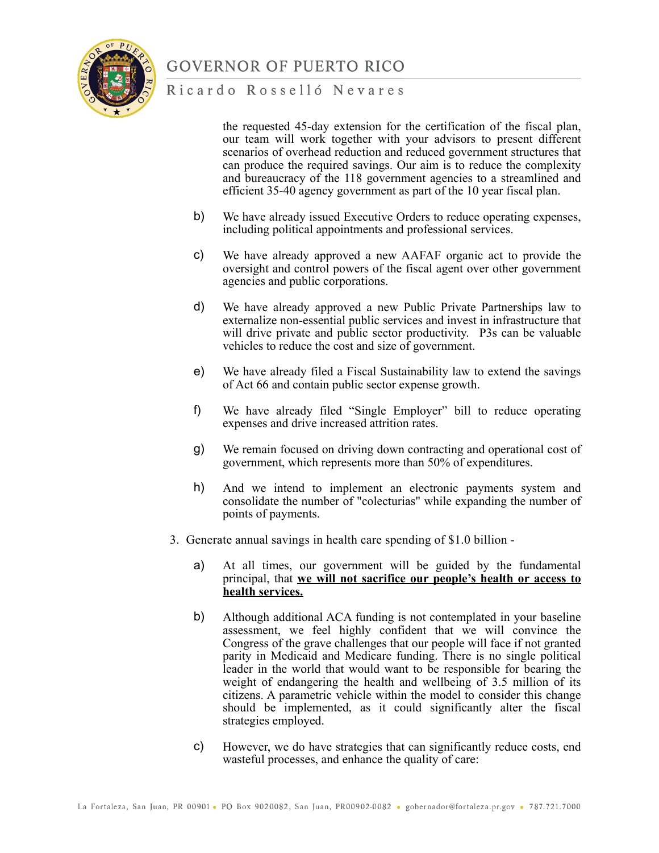

#### Ricardo Rosselló Nevares

the requested 45-day extension for the certification of the fiscal plan, our team will work together with your advisors to present different scenarios of overhead reduction and reduced government structures that can produce the required savings. Our aim is to reduce the complexity and bureaucracy of the 118 government agencies to a streamlined and efficient 35-40 agency government as part of the 10 year fiscal plan.

- b) We have already issued Executive Orders to reduce operating expenses, including political appointments and professional services.
- c) We have already approved a new AAFAF organic act to provide the oversight and control powers of the fiscal agent over other government agencies and public corporations.
- d) We have already approved a new Public Private Partnerships law to externalize non-essential public services and invest in infrastructure that will drive private and public sector productivity. P3s can be valuable vehicles to reduce the cost and size of government.
- e) We have already filed a Fiscal Sustainability law to extend the savings of Act 66 and contain public sector expense growth.
- f) We have already filed "Single Employer" bill to reduce operating expenses and drive increased attrition rates.
- g) We remain focused on driving down contracting and operational cost of government, which represents more than 50% of expenditures.
- h) And we intend to implement an electronic payments system and consolidate the number of "colecturias" while expanding the number of points of payments.
- 3. Generate annual savings in health care spending of \$1.0 billion
	- a) At all times, our government will be guided by the fundamental principal, that **we will not sacrifice our people's health or access to health services.**
	- b) Although additional ACA funding is not contemplated in your baseline assessment, we feel highly confident that we will convince the Congress of the grave challenges that our people will face if not granted parity in Medicaid and Medicare funding. There is no single political leader in the world that would want to be responsible for bearing the weight of endangering the health and wellbeing of 3.5 million of its citizens. A parametric vehicle within the model to consider this change should be implemented, as it could significantly alter the fiscal strategies employed.
	- c) However, we do have strategies that can significantly reduce costs, end wasteful processes, and enhance the quality of care: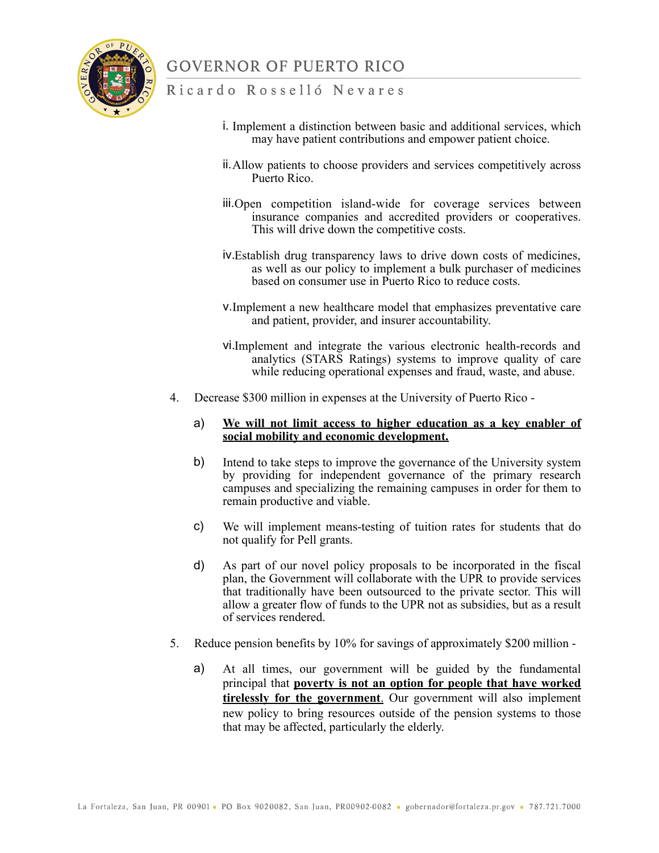

#### Ricardo Rosselló Nevares

- i. Implement a distinction between basic and additional services, which may have patient contributions and empower patient choice.
- ii.Allow patients to choose providers and services competitively across Puerto Rico.
- iii.Open competition island-wide for coverage services between insurance companies and accredited providers or cooperatives. This will drive down the competitive costs.
- iv.Establish drug transparency laws to drive down costs of medicines, as well as our policy to implement a bulk purchaser of medicines based on consumer use in Puerto Rico to reduce costs.
- v.Implement a new healthcare model that emphasizes preventative care and patient, provider, and insurer accountability.
- vi.Implement and integrate the various electronic health-records and analytics (STARS Ratings) systems to improve quality of care while reducing operational expenses and fraud, waste, and abuse.
- 4. Decrease \$300 million in expenses at the University of Puerto Rico -

#### a) **We will not limit access to higher education as a key enabler of social mobility and economic development.**

- b) Intend to take steps to improve the governance of the University system by providing for independent governance of the primary research campuses and specializing the remaining campuses in order for them to remain productive and viable.
- c) We will implement means-testing of tuition rates for students that do not qualify for Pell grants.
- d) As part of our novel policy proposals to be incorporated in the fiscal plan, the Government will collaborate with the UPR to provide services that traditionally have been outsourced to the private sector. This will allow a greater flow of funds to the UPR not as subsidies, but as a result of services rendered.
- 5. Reduce pension benefits by 10% for savings of approximately \$200 million
	- a) At all times, our government will be guided by the fundamental principal that **poverty is not an option for people that have worked tirelessly for the government**. Our government will also implement new policy to bring resources outside of the pension systems to those that may be affected, particularly the elderly.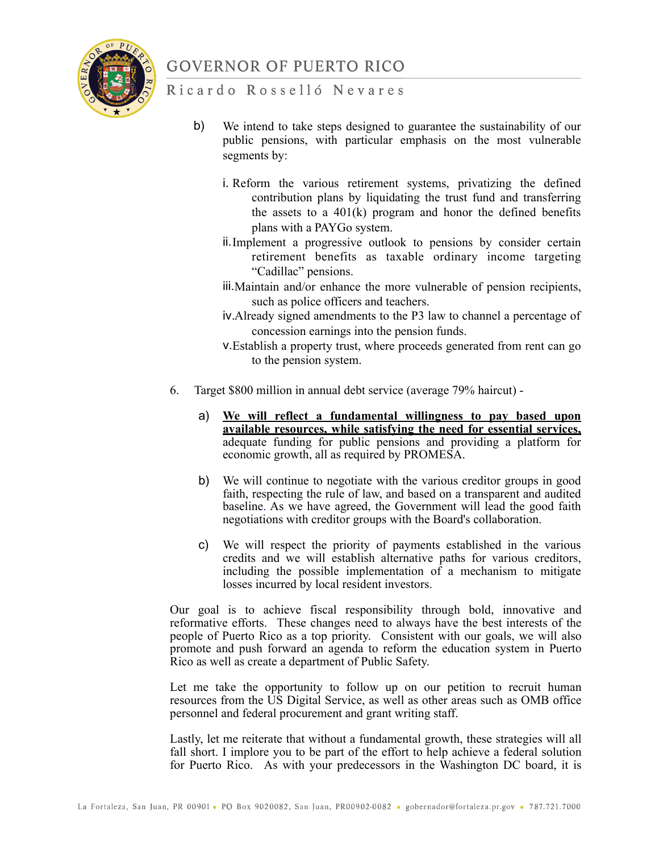

#### Ricardo Rosselló Nevares

- b) We intend to take steps designed to guarantee the sustainability of our public pensions, with particular emphasis on the most vulnerable segments by:
	- i. Reform the various retirement systems, privatizing the defined contribution plans by liquidating the trust fund and transferring the assets to a  $401(k)$  program and honor the defined benefits plans with a PAYGo system.
	- ii.Implement a progressive outlook to pensions by consider certain retirement benefits as taxable ordinary income targeting "Cadillac" pensions.
	- iii.Maintain and/or enhance the more vulnerable of pension recipients, such as police officers and teachers.
	- iv.Already signed amendments to the P3 law to channel a percentage of concession earnings into the pension funds.
	- v.Establish a property trust, where proceeds generated from rent can go to the pension system.
- 6. Target \$800 million in annual debt service (average 79% haircut)
	- a) **We will reflect a fundamental willingness to pay based upon available resources, while satisfying the need for essential services,** adequate funding for public pensions and providing a platform for economic growth, all as required by PROMESA.
	- b) We will continue to negotiate with the various creditor groups in good faith, respecting the rule of law, and based on a transparent and audited baseline. As we have agreed, the Government will lead the good faith negotiations with creditor groups with the Board's collaboration.
	- c) We will respect the priority of payments established in the various credits and we will establish alternative paths for various creditors, including the possible implementation of a mechanism to mitigate losses incurred by local resident investors.

Our goal is to achieve fiscal responsibility through bold, innovative and reformative efforts. These changes need to always have the best interests of the people of Puerto Rico as a top priority. Consistent with our goals, we will also promote and push forward an agenda to reform the education system in Puerto Rico as well as create a department of Public Safety.

Let me take the opportunity to follow up on our petition to recruit human resources from the US Digital Service, as well as other areas such as OMB office personnel and federal procurement and grant writing staff.

Lastly, let me reiterate that without a fundamental growth, these strategies will all fall short. I implore you to be part of the effort to help achieve a federal solution for Puerto Rico. As with your predecessors in the Washington DC board, it is